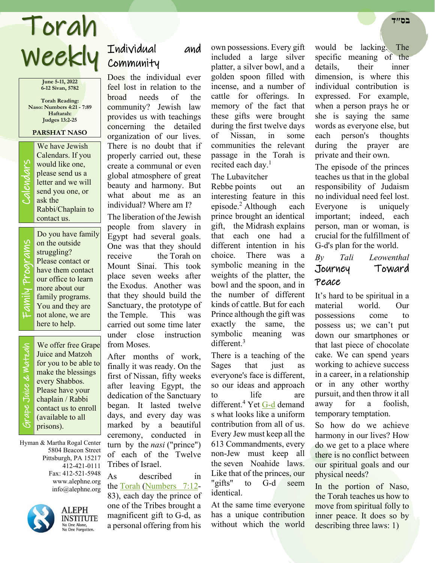# Weekly Individual Torah **בס״ד**

**June 5-11, 2022 6-12 Sivan, 5782**

**Torah Reading: Naso: Numbers 4:21 - 7:89 Haftarah: Judges 13:2-25**

## **PARSHAT NASO**

We have Jewish<br>Calendars. If you<br>would like one,<br>please send us a<br>letter and we will<br>send you one, or<br>ask the Calendars. If you would like one, please send us a letter and we will send you one, or ask the Rabbi/Chaplain to contact us.

Family Programs Do you have family on the outside struggling? Please contact or have them contact our office to learn more about our family programs. You and they are not alone, we are here to help.

 Grape Juice & Matzah Grape Juice & Watzah

ly Programs

Famil

We offer free Grape Juice and Matzoh for you to be able to make the blessings every Shabbos. Please have your chaplain / Rabbi contact us to enroll (available to all prisons).

Hyman & Martha Rogal Center 5804 Beacon Street Pittsburgh, PA 15217 412-421-0111 Fax: 412-521-5948 www.alephne.org info@alephne.org



**ALEPH INSTITUTE** No One Alone,<br>No One Forgotten.

# Individual and

Does the individual ever feel lost in relation to the broad needs of the community? Jewish law provides us with teachings concerning the detailed organization of our lives. There is no doubt that if properly carried out, these create a communal or even global atmosphere of great beauty and harmony. But what about me as an individual? Where am I?

The liberation of the Jewish people from slavery in Egypt had several goals. One was that they should receive the Torah on Mount Sinai. This took place seven weeks after the Exodus. Another was that they should build the Sanctuary, the prototype of the Temple. This was carried out some time later under close instruction from Moses.

After months of work, finally it was ready. On the first of Nissan, fifty weeks after leaving Egypt, the dedication of the Sanctuary began. It lasted twelve days, and every day was marked by a beautiful ceremony, conducted in turn by the *nasi* ("prince") of each of the Twelve Tribes of Israel.

As described in the Torah (Numbers 7:12- 83), each day the prince of one of the Tribes brought a magnificent gift to G-d, as a personal offering from his

own possessions. Every gift included a large silver platter, a silver bowl, and a golden spoon filled with incense, and a number of cattle for offerings. In memory of the fact that these gifts were brought during the first twelve days of Nissan, in some communities the relevant passage in the Torah is recited each day.<sup>1</sup>

## The Lubavitcher

Rebbe points out an interesting feature in this episode.<sup>2</sup> Although each prince brought an identical gift, the Midrash explains that each one had a different intention in his choice. There was a symbolic meaning in the weights of the platter, the bowl and the spoon, and in the number of different kinds of cattle. But for each Prince although the gift was exactly the same, the symbolic meaning was different.<sup>3</sup>

There is a teaching of the Sages that just as everyone's face is different, so our ideas and approach to life are different.<sup>4</sup> Yet G-d demand s what looks like a uniform contribution from all of us. Every Jew must keep all the 613 Commandments, every non-Jew must keep all the seven Noahide laws. Like that of the princes, our "gifts" to G-d seem identical.

At the same time everyone has a unique contribution without which the world would be lacking. The specific meaning of the details, their inner dimension, is where this individual contribution is expressed. For example, when a person prays he or she is saying the same words as everyone else, but each person's thoughts during the prayer are private and their own.

The episode of the princes teaches us that in the global responsibility of Judaism no individual need feel lost. Everyone is uniquely important; indeed, each person, man or woman, is crucial for the fulfillment of G-d's plan for the world.

# *By Tali Leowenthal*  Journey Toward Peace

It's hard to be spiritual in a material world. Our possessions come to possess us; we can't put down our smartphones or that last piece of chocolate cake. We can spend years working to achieve success in a career, in a relationship or in any other worthy pursuit, and then throw it all away for a foolish, temporary temptation.

So how do we achieve harmony in our lives? How do we get to a place where there is no conflict between our spiritual goals and our physical needs?

In the portion of Naso, the Torah teaches us how to move from spiritual folly to inner peace. It does so by describing three laws: 1)